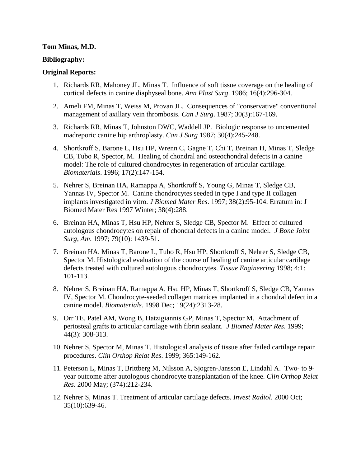### **Tom Minas, M.D.**

### **Bibliography:**

## **Original Reports:**

- 1. Richards RR, Mahoney JL, Minas T. Influence of soft tissue coverage on the healing of cortical defects in canine diaphyseal bone. *Ann Plast Surg*. 1986; 16(4):296-304.
- 2. Ameli FM, Minas T, Weiss M, Provan JL. Consequences of "conservative" conventional management of axillary vein thrombosis. *Can J Surg*. 1987; 30(3):167-169.
- 3. Richards RR, Minas T, Johnston DWC, Waddell JP. Biologic response to uncemented madreporic canine hip arthroplasty. *Can J Surg* 1987; 30(4):245-248.
- 4. Shortkroff S, Barone L, Hsu HP, Wrenn C, Gagne T, Chi T, Breinan H, Minas T, Sledge CB, Tubo R, Spector, M. Healing of chondral and osteochondral defects in a canine model: The role of cultured chondrocytes in regeneration of articular cartilage. *Biomaterials*. 1996; 17(2):147-154.
- 5. Nehrer S, Breinan HA, Ramappa A, Shortkroff S, Young G, Minas T, Sledge CB, Yannas IV, Spector M. Canine chondrocytes seeded in type I and type II collagen implants investigated in vitro. *J Biomed Mater Res*. 1997; 38(2):95-104. Erratum in: J Biomed Mater Res 1997 Winter; 38(4):288.
- 6. Breinan HA, Minas T, Hsu HP, Nehrer S, Sledge CB, Spector M. Effect of cultured autologous chondrocytes on repair of chondral defects in a canine model. *J Bone Joint Surg, Am*. 1997; 79(10): 1439-51.
- 7. Breinan HA, Minas T, Barone L, Tubo R, Hsu HP, Shortkroff S, Nehrer S, Sledge CB, Spector M. Histological evaluation of the course of healing of canine articular cartilage defects treated with cultured autologous chondrocytes. *Tissue Engineering* 1998; 4:1: 101-113.
- 8. Nehrer S, Breinan HA, Ramappa A, Hsu HP, Minas T, Shortkroff S, Sledge CB, Yannas IV, Spector M. Chondrocyte-seeded collagen matrices implanted in a chondral defect in a canine model. *Biomaterials*. 1998 Dec; 19(24):2313-28.
- 9. Orr TE, Patel AM, Wong B, Hatzigiannis GP, Minas T, Spector M. Attachment of periosteal grafts to articular cartilage with fibrin sealant. *J Biomed Mater Res*. 1999; 44(3): 308-313.
- 10. Nehrer S, Spector M, Minas T. Histological analysis of tissue after failed cartilage repair procedures. *Clin Orthop Relat Res*. 1999; 365:149-162.
- 11. Peterson L, Minas T, Brittberg M, Nilsson A, Sjogren-Jansson E, Lindahl A. Two- to 9 year outcome after autologous chondrocyte transplantation of the knee. *Clin Orthop Relat Res*. 2000 May; (374):212-234.
- 12. Nehrer S, Minas T. Treatment of articular cartilage defects. *Invest Radiol*. 2000 Oct; 35(10):639-46.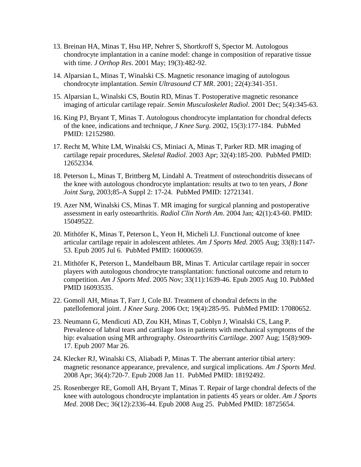- 13. Breinan HA, Minas T, Hsu HP, Nehrer S, Shortkroff S, Spector M. Autologous chondrocyte implantation in a canine model: change in composition of reparative tissue with time. *J Orthop Res*. 2001 May; 19(3):482-92.
- 14. Alparsian L, Minas T, Winalski CS. Magnetic resonance imaging of autologous chondrocyte implantation. *Semin Ultrasound CT MR*. 2001; 22(4):341-351.
- 15. Alparsian L, Winalski CS, Boutin RD, Minas T. Postoperative magnetic resonance imaging of articular cartilage repair. *Semin Musculoskelet Radiol*. 2001 Dec; 5(4):345-63.
- 16. King PJ, Bryant T, Minas T. Autologous chondrocyte implantation for chondral defects of the knee, indications and technique, *J Knee Surg*. 2002, 15(3):177-184. PubMed PMID: 12152980.
- 17. Recht M, White LM, Winalski CS, Miniaci A, Minas T, Parker RD. MR imaging of cartilage repair procedures, *Skeletal Radiol*. 2003 Apr; 32(4):185-200. PubMed PMID: 12652334.
- 18. Peterson L, Minas T, Brittberg M, Lindahl A. Treatment of osteochondritis dissecans of the knee with autologous chondrocyte implantation: results at two to ten years, *J Bone Joint Surg*, 2003;85-A Suppl 2: 17-24. PubMed PMID: 12721341.
- 19. Azer NM, Winalski CS, Minas T. MR imaging for surgical planning and postoperative assessment in early osteoarthritis. *Radiol Clin North Am*. 2004 Jan; 42(1):43-60. PMID: 15049522.
- 20. Mithöfer K, Minas T, Peterson L, Yeon H, Micheli LJ. Functional outcome of knee articular cartilage repair in adolescent athletes. *Am J Sports Med*. 2005 Aug; 33(8):1147- 53. Epub 2005 Jul 6. PubMed PMID: 16000659.
- 21. Mithöfer K, Peterson L, Mandelbaum BR, Minas T. Articular cartilage repair in soccer players with autologous chondrocyte transplantation: functional outcome and return to competition. *Am J Sports Med*. 2005 Nov; 33(11):1639-46. Epub 2005 Aug 10. PubMed PMID 16093535.
- 22. Gomoll AH, Minas T, Farr J, Cole BJ. Treatment of chondral defects in the patellofemoral joint. *J Knee Surg*. 2006 Oct; 19(4):285-95. PubMed PMID: 17080652.
- 23. Neumann G, Mendicuti AD, Zou KH, Minas T, Coblyn J, Winalski CS, Lang P. [Prevalence of labral tears and cartilage loss in patients with mechanical symptoms of the](http://www.ncbi.nlm.nih.gov/pubmed/17383908)  [hip: evaluation using MR arthrography.](http://www.ncbi.nlm.nih.gov/pubmed/17383908) *Osteoarthritis Cartilage*. 2007 Aug; 15(8):909- 17. Epub 2007 Mar 26.
- 24. Klecker RJ, Winalski CS, Aliabadi P, Minas T. The aberrant anterior tibial artery: magnetic resonance appearance, prevalence, and surgical implications. *Am J Sports Med*. 2008 Apr; 36(4):720-7. Epub 2008 Jan 11. PubMed PMID: 18192492.
- 25. Rosenberger RE, Gomoll AH, Bryant T, Minas T. Repair of large chondral defects of the knee with autologous chondrocyte implantation in patients 45 years or older. *Am J Sports Med*. 2008 Dec; 36(12):2336-44. Epub 2008 Aug 25. PubMed PMID: 18725654.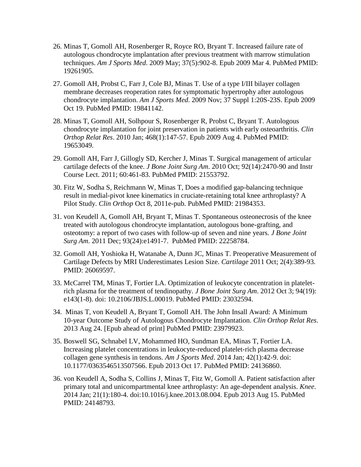- 26. Minas T, Gomoll AH, Rosenberger R, Royce RO, Bryant T. Increased failure rate of autologous chondrocyte implantation after previous treatment with marrow stimulation techniques. *Am J Sports Med*. 2009 May; 37(5):902-8. Epub 2009 Mar 4. PubMed PMID: 19261905.
- 27. Gomoll AH, Probst C, Farr J, Cole BJ, Minas T. Use of a type I/III bilayer collagen membrane decreases reoperation rates for symptomatic hypertrophy after autologous chondrocyte implantation. *Am J Sports Med*. 2009 Nov; 37 Suppl 1:20S-23S. Epub 2009 Oct 19. PubMed PMID: 19841142.
- 28. Minas T, Gomoll AH, Solhpour S, Rosenberger R, Probst C, Bryant T. Autologous chondrocyte implantation for joint preservation in patients with early osteoarthritis. *Clin Orthop Relat Res*. 2010 Jan; 468(1):147-57. Epub 2009 Aug 4. PubMed PMID: 19653049.
- 29. Gomoll AH, Farr J, Gillogly SD, Kercher J, Minas T. Surgical management of articular cartilage defects of the knee. *J Bone Joint Surg Am*. 2010 Oct; 92(14):2470-90 and Instr Course Lect. 2011; 60:461-83. PubMed PMID: 21553792.
- 30. Fitz W, Sodha S, Reichmann W, Minas T, Does a modified gap-balancing technique result in medial-pivot knee kinematics in cruciate-retaining total knee arthroplasty? A Pilot Study. *Clin Orthop* Oct 8, 2011e-pub. PubMed PMID: 21984353.
- 31. von Keudell A, Gomoll AH, Bryant T, Minas T. Spontaneous osteonecrosis of the knee treated with autologous chondrocyte implantation, autologous bone-grafting, and osteotomy: a report of two cases with follow-up of seven and nine years. *J Bone Joint Surg Am*. 2011 Dec; 93(24):e1491-7. PubMed PMID: 22258784.
- 32. Gomoll AH, Yoshioka H, Watanabe A, Dunn JC, Minas T. Preoperative Measurement of Cartilage Defects by MRI Underestimates Lesion Size. *Cartilage* 2011 Oct; 2(4):389-93. PMID: 26069597.
- 33. McCarrel TM, Minas T, Fortier LA. Optimization of leukocyte concentration in plateletrich plasma for the treatment of tendinopathy. *J Bone Joint Surg Am*. 2012 Oct 3; 94(19): e143(1-8). doi: 10.2106/JBJS.L.00019. PubMed PMID: 23032594.
- 34. Minas T, von Keudell A, Bryant T, Gomoll AH. The John Insall Award: A Minimum 10-year Outcome Study of Autologous Chondrocyte Implantation. *Clin Orthop Relat Res*. 2013 Aug 24. [Epub ahead of print] PubMed PMID: 23979923.
- 35. Boswell SG, Schnabel LV, Mohammed HO, Sundman EA, Minas T, Fortier LA. Increasing platelet concentrations in leukocyte-reduced platelet-rich plasma decrease collagen gene synthesis in tendons. *Am J Sports Med*. 2014 Jan; 42(1):42-9. doi: 10.1177/0363546513507566. Epub 2013 Oct 17. PubMed PMID: 24136860.
- 36. von Keudell A, Sodha S, Collins J, Minas T, Fitz W, Gomoll A. Patient satisfaction after primary total and unicompartmental knee arthroplasty: An age-dependent analysis. *Knee*. 2014 Jan; 21(1):180-4. doi:10.1016/j.knee.2013.08.004. Epub 2013 Aug 15. PubMed PMID: 24148793.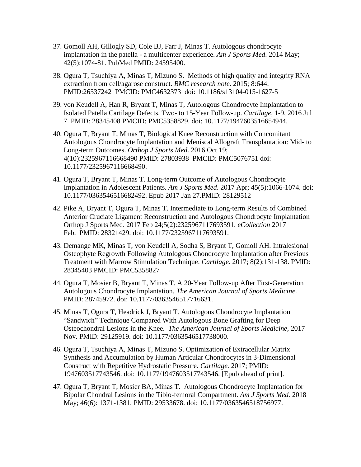- 37. Gomoll AH, Gillogly SD, Cole BJ, Farr J, Minas T. Autologous chondrocyte implantation in the patella - a multicenter experience. *Am J Sports Med*. 2014 May; 42(5):1074-81. PubMed PMID: 24595400.
- 38. Ogura T, Tsuchiya A, Minas T, Mizuno S. Methods of high quality and integrity RNA extraction from cell/agarose construct. *BMC research note*. 2015; 8:644. PMID:26537242 PMCID: [PMC4632373](https://www.ncbi.nlm.nih.gov/pmc/articles/PMC4632373/) doi: [10.1186/s13104-015-1627-5](https://doi.org/10.1186/s13104-015-1627-5)
- 39. von Keudell A, Han R, Bryant T, Minas T, Autologous Chondrocyte Implantation to Isolated Patella Cartilage Defects. Two- to 15-Year Follow-up. *Cartilage*, 1-9, 2016 Jul 7. PMID: 28345408 PMCID: PMC5358829. doi: 10.1177/1947603516654944.
- 40. Ogura T, Bryant T, Minas T, Biological Knee Reconstruction with Concomitant Autologous Chondrocyte Implantation and Meniscal Allograft Transplantation: Mid- to Long-term Outcomes. *Orthop J Sports Med*. 2016 Oct 19; 4(10):2325967116668490 PMID: 27803938 PMCID: PMC5076751 doi: [10.1177/2325967116668490.](http://dx.doi.org/10.1177/2325967116668490)
- 41. Ogura T, Bryant T, Minas T. Long-term Outcome of Autologous Chondrocyte Implantation in Adolescent Patients. *Am J Sports Med*. 2017 Apr; 45(5):1066-1074. doi: 10.1177/0363546516682492. Epub 2017 Jan 27.PMID: 28129512
- 42. Pike A, Bryant T, Ogura T, Minas T. Intermediate to Long-term Results of Combined Anterior Cruciate Ligament Reconstruction and Autologous Chondrocyte Implantation Orthop J Sports Med. 2017 Feb 24;5(2):2325967117693591. *eCollection* 2017 Feb. PMID: 28321429. doi: 10.1177/2325967117693591.
- 43. Demange MK, Minas T, von Keudell A, Sodha S, Bryant T, Gomoll AH. Intralesional Osteophyte Regrowth Following Autologous Chondrocyte Implantation after Previous Treatment with Marrow Stimulation Technique. *Cartilage.* 2017; 8(2):131-138. PMID: 28345403 PMCID: PMC5358827
- 44. Ogura T, Mosier B, Bryant T, Minas T. A 20-Year Follow-up After First-Generation Autologous Chondrocyte Implantation. *The American Journal of Sports Medicine*. PMID: 28745972. doi: 10.1177/0363546517716631.
- 45. Minas T, Ogura T, Headrick J, Bryant T. Autologous Chondrocyte Implantation "Sandwich" Technique Compared With Autologous Bone Grafting for Deep Osteochondral Lesions in the Knee. *The American Journal of Sports Medicine,* 2017 Nov. PMID: 29125919. doi: 10.1177/0363546517738000.
- 46. Ogura T, Tsuchiya A, Minas T, Mizuno S. Optimization of Extracellular Matrix Synthesis and Accumulation by Human Articular Chondrocytes in 3-Dimensional Construct with Repetitive Hydrostatic Pressure. *Cartilage.* 2017; PMID: 1947603517743546. doi: 10.1177/1947603517743546. [Epub ahead of print].
- 47. Ogura T, Bryant T, Mosier BA, Minas T. Autologous Chondrocyte Implantation for Bipolar Chondral Lesions in the Tibio-femoral Compartment. *Am J Sports Med.* 2018 May; 46(6): 1371-1381. PMID: 29533678. doi: 10.1177/0363546518756977.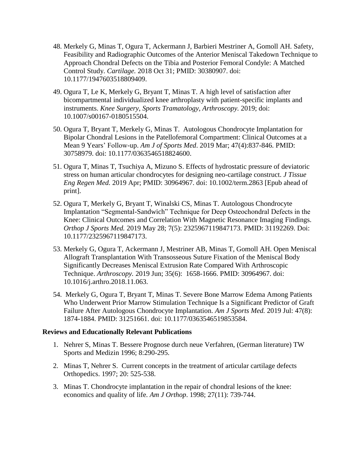- 48. Merkely G, Minas T, Ogura T, Ackermann J, Barbieri Mestriner A, Gomoll AH. Safety, Feasibility and Radiographic Outcomes of the Anterior Meniscal Takedown Technique to Approach Chondral Defects on the Tibia and Posterior Femoral Condyle: A Matched Control Study. *Cartilage.* 2018 Oct 31; PMID: 30380907. doi: 10.1177/1947603518809409.
- 49. Ogura T, Le K, Merkely G, Bryant T, Minas T. A high level of satisfaction after bicompartmental individualized knee arthroplasty with patient-specific implants and instruments. *Knee Surgery, Sports Tramatology, Arthroscopy.* 2019; doi: 10.1007/s00167-0180515504.
- 50. Ogura T, Bryant T, Merkely G, Minas T. Autologous Chondrocyte Implantation for Bipolar Chondral Lesions in the Patellofemoral Compartment: Clinical Outcomes at a Mean 9 Years' Follow-up. *Am J of Sports Med*. 2019 Mar; 47(4):837-846. PMID: 30758979. doi: 10.1177/0363546518824600.
- 51. Ogura T, Minas T, Tsuchiya A, Mizuno S. Effects of hydrostatic pressure of deviatoric stress on human articular chondrocytes for designing neo-cartilage construct. *J Tissue Eng Regen Med.* 2019 Apr; PMID: 30964967. doi: 10.1002/term.2863 [Epub ahead of print].
- 52. Ogura T, Merkely G, Bryant T, Winalski CS, Minas T. Autologous Chondrocyte Implantation "Segmental-Sandwich" Technique for Deep Osteochondral Defects in the Knee: Clinical Outcomes and Correlation With Magnetic Resonance Imaging Findings. *Orthop J Sports Med.* 2019 May 28; 7(5): 2325967119847173. PMID: 31192269. Doi: 10.1177/2325967119847173.
- 53. Merkely G, Ogura T, Ackermann J, Mestriner AB, Minas T, Gomoll AH. Open Meniscal Allograft Transplantation With Transosseous Suture Fixation of the Meniscal Body Significantly Decreases Meniscal Extrusion Rate Compared With Arthroscopic Technique. *Arthroscopy.* 2019 Jun; 35(6): 1658-1666. PMID: 30964967. doi: 10.1016/j.arthro.2018.11.063.
- 54. Merkely G, Ogura T, Bryant T, Minas T. Severe Bone Marrow Edema Among Patients Who Underwent Prior Marrow Stimulation Technique Is a Significant Predictor of Graft Failure After Autologous Chondrocyte Implantation. *Am J Sports Med.* 2019 Jul: 47(8): 1874-1884. PMID: 31251661. doi: 10.1177/0363546519853584.

## **Reviews and Educationally Relevant Publications**

- 1. Nehrer S, Minas T. Bessere Prognose durch neue Verfahren, (German literature) TW Sports and Medizin 1996; 8:290-295.
- 2. Minas T, Nehrer S. Current concepts in the treatment of articular cartilage defects Orthopedics. 1997; 20: 525-538.
- 3. Minas T. Chondrocyte implantation in the repair of chondral lesions of the knee: economics and quality of life. *Am J Orthop*. 1998; 27(11): 739-744.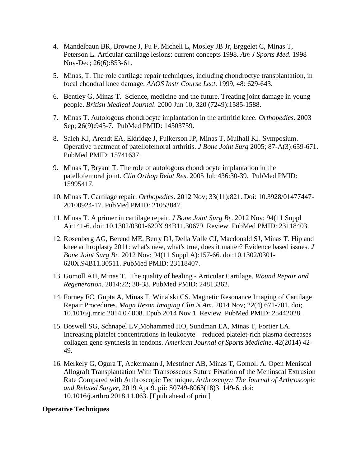- 4. Mandelbaun BR, Browne J, Fu F, Micheli L, Mosley JB Jr, Erggelet C, Minas T, Peterson L. Articular cartilage lesions: current concepts 1998. *Am J Sports Med*. 1998 Nov-Dec; 26(6):853-61.
- 5. Minas, T. The role cartilage repair techniques, including chondroctye transplantation, in focal chondral knee damage. *AAOS Instr Course Lect*. 1999, 48: 629-643.
- 6. Bentley G, Minas T. Science, medicine and the future. Treating joint damage in young people. *British Medical Journal*. 2000 Jun 10, 320 (7249):1585-1588.
- 7. Minas T. Autologous chondrocyte implantation in the arthritic knee. *Orthopedics*. 2003 Sep; 26(9):945-7. PubMed PMID: 14503759.
- 8. Saleh KJ, Arendt EA, Eldridge J, Fulkerson JP, Minas T, Mulhall KJ. Symposium. Operative treatment of patellofemoral arthritis. *J Bone Joint Surg* 2005; 87-A(3):659-671. PubMed PMID: 15741637.
- 9. Minas T, Bryant T. The role of autologous chondrocyte implantation in the patellofemoral joint. *Clin Orthop Relat Res*. 2005 Jul; 436:30-39. PubMed PMID: 15995417.
- 10. Minas T. Cartilage repair. *Orthopedics*. 2012 Nov; 33(11):821. Doi: 10.3928/01477447- 20100924-17. PubMed PMID: 21053847.
- 11. Minas T. A primer in cartilage repair. *J Bone Joint Surg Br*. 2012 Nov; 94(11 Suppl A):141-6. doi: 10.1302/0301-620X.94B11.30679. Review. PubMed PMID: 23118403.
- 12. Rosenberg AG, Berend ME, Berry DJ, Della Valle CJ, Macdonald SJ, Minas T. Hip and knee arthroplasty 2011: what's new, what's true, does it matter? Evidence based issues. *J Bone Joint Surg Br*. 2012 Nov; 94(11 Suppl A):157-66. doi:10.1302/0301- 620X.94B11.30511. PubMed PMID: 23118407.
- 13. Gomoll AH, Minas T. The quality of healing Articular Cartilage. *Wound Repair and Regeneration*. 2014:22; 30-38. PubMed PMID: 24813362.
- 14. Forney FC, Gupta A, Minas T, Winalski CS. Magnetic Resonance Imaging of Cartilage Repair Procedures. *Magn Reson Imaging Clin N Am*. 2014 Nov; 22(4) 671-701. doi; 10.1016/j.mric.2014.07.008. Epub 2014 Nov 1. Review. PubMed PMID: 25442028.
- 15. Boswell SG, Schnapel LV,Mohammed HO, Sundman EA, Minas T, Fortier LA. Increasing platelet concentrations in leukocyte – reduced platelet-rich plasma decreases collagen gene synthesis in tendons. *American Journal of Sports Medicine*, 42(2014) 42- 49.
- 16. Merkely G, Ogura T, Ackermann J, Mestriner AB, Minas T, Gomoll A. Open Meniscal Allograft Transplantation With Transosseous Suture Fixation of the Meninscal Extrusion Rate Compared with Arthroscopic Technique. *Arthroscopy: The Journal of Arthroscopic and Related Surger*, 2019 Apr 9. pii: S0749-8063(18)31149-6. doi: 10.1016/j.arthro.2018.11.063. [Epub ahead of print]

## **Operative Techniques**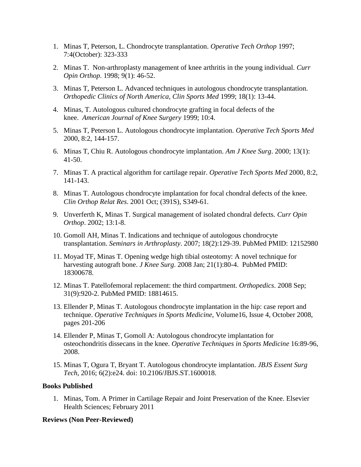- 1. Minas T, Peterson, L. Chondrocyte transplantation. *Operative Tech Orthop* 1997; 7:4(October): 323-333
- 2. Minas T. Non-arthroplasty management of knee arthritis in the young individual. *Curr Opin Orthop*. 1998; 9(1): 46-52.
- 3. Minas T, Peterson L. Advanced techniques in autologous chondrocyte transplantation. *Orthopedic Clinics of North America, Clin Sports Med* 1999; 18(1): 13-44.
- 4. Minas, T. Autologous cultured chondrocyte grafting in focal defects of the knee. *American Journal of Knee Surgery* 1999; 10:4.
- 5. Minas T, Peterson L. Autologous chondrocyte implantation. *Operative Tech Sports Med* 2000, 8:2, 144-157.
- 6. Minas T, Chiu R. Autologous chondrocyte implantation. *Am J Knee Surg*. 2000; 13(1): 41-50.
- 7. Minas T. A practical algorithm for cartilage repair. *Operative Tech Sports Med* 2000, 8:2, 141-143.
- 8. Minas T. Autologous chondrocyte implantation for focal chondral defects of the knee. *Clin Orthop Relat Res*. 2001 Oct; (391S), S349-61.
- 9. Unverferth K, Minas T. Surgical management of isolated chondral defects. *Curr Opin Orthop*. 2002; 13:1-8.
- 10. Gomoll AH, Minas T. Indications and technique of autologous chondrocyte transplantation. *Seminars in Arthroplasty*. 2007; 18(2):129-39. PubMed PMID: 12152980
- 11. Moyad TF, Minas T. [Opening wedge high tibial osteotomy: A novel technique for](http://www.ncbi.nlm.nih.gov/pubmed/18300678)  [harvesting autograft bone.](http://www.ncbi.nlm.nih.gov/pubmed/18300678) *J Knee Surg*. 2008 Jan; 21(1):80-4. PubMed PMID: 18300678.
- 12. Minas T. Patellofemoral replacement: the third compartment. *Orthopedics*. 2008 Sep; 31(9):920-2. PubMed PMID: 18814615.
- 13. Ellender P, Minas T. Autologous chondrocyte implantation in the hip: case report and technique. *Operative Techniques in Sports Medicine*, Volume16, Issue 4, October 2008, pages 201-206
- 14. Ellender P, Minas T, Gomoll A: Autologous chondrocyte implantation for osteochondritis dissecans in the knee. *Operative Techniques in Sports Medicine* 16:89-96, 2008.
- 15. Minas T, Ogura T, Bryant T. Autologous chondrocyte implantation. *JBJS Essent Surg Tech*, 2016; 6(2):e24. doi: 10.2106/JBJS.ST.1600018.

#### **Books Published**

1. Minas, Tom. A Primer in Cartilage Repair and Joint Preservation of the Knee. Elsevier Health Sciences; February 2011

#### **Reviews (Non Peer-Reviewed)**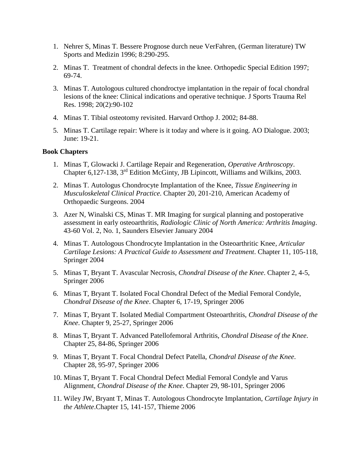- 1. Nehrer S, Minas T. Bessere Prognose durch neue VerFahren, (German literature) TW Sports and Medizin 1996; 8:290-295.
- 2. Minas T. Treatment of chondral defects in the knee. Orthopedic Special Edition 1997; 69-74.
- 3. Minas T. Autologous cultured chondroctye implantation in the repair of focal chondral lesions of the knee: Clinical indications and operative technique. J Sports Trauma Rel Res. 1998; 20(2):90-102
- 4. Minas T. Tibial osteotomy revisited. Harvard Orthop J. 2002; 84-88.
- 5. Minas T. Cartilage repair: Where is it today and where is it going. AO Dialogue. 2003; June: 19-21.

### **Book Chapters**

- 1. Minas T, Glowacki J. Cartilage Repair and Regeneration, *Operative Arthroscopy*. Chapter 6,127-138, 3rd Edition McGinty, JB Lipincott, Williams and Wilkins, 2003.
- 2. Minas T. Autologus Chondrocyte Implantation of the Knee, *Tissue Engineering in Musculoskeletal Clinical Practice*. Chapter 20, 201-210, American Academy of Orthopaedic Surgeons. 2004
- 3. Azer N, Winalski CS, Minas T. MR Imaging for surgical planning and postoperative assessment in early osteoarthritis, *Radiologic Clinic of North America: Arthritis Imaging*. 43-60 Vol. 2, No. 1, Saunders Elsevier January 2004
- 4. Minas T. Autologous Chondrocyte Implantation in the Osteoarthritic Knee*, Articular Cartilage Lesions: A Practical Guide to Assessment and Treatment*. Chapter 11, 105-118, Springer 2004
- 5. Minas T, Bryant T. Avascular Necrosis, *Chondral Disease of the Knee*. Chapter 2, 4-5, Springer 2006
- 6. Minas T, Bryant T. Isolated Focal Chondral Defect of the Medial Femoral Condyle, *Chondral Disease of the Knee*. Chapter 6, 17-19, Springer 2006
- 7. Minas T, Bryant T. Isolated Medial Compartment Osteoarthritis, *Chondral Disease of the Knee*. Chapter 9, 25-27, Springer 2006
- 8. Minas T, Bryant T. Advanced Patellofemoral Arthritis, *Chondral Disease of the Knee*. Chapter 25, 84-86, Springer 2006
- 9. Minas T, Bryant T. Focal Chondral Defect Patella, *Chondral Disease of the Knee*. Chapter 28, 95-97, Springer 2006
- 10. Minas T, Bryant T. Focal Chondral Defect Medial Femoral Condyle and Varus Alignment, *Chondral Disease of the Knee*. Chapter 29, 98-101, Springer 2006
- 11. Wiley JW, Bryant T, Minas T. Autologous Chondrocyte Implantation, *Cartilage Injury in the Athlete*.Chapter 15, 141-157, Thieme 2006